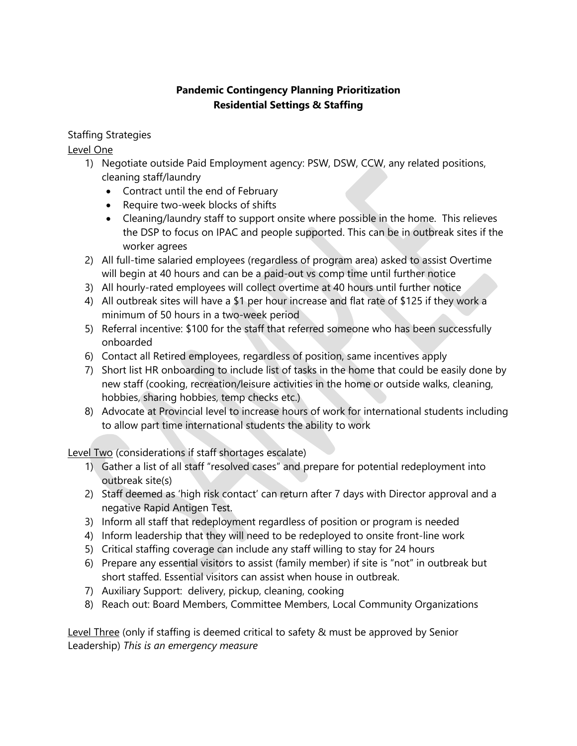## **Pandemic Contingency Planning Prioritization Residential Settings & Staffing**

## Staffing Strategies

Level One

- 1) Negotiate outside Paid Employment agency: PSW, DSW, CCW, any related positions, cleaning staff/laundry
	- Contract until the end of February
	- Require two-week blocks of shifts
	- Cleaning/laundry staff to support onsite where possible in the home. This relieves the DSP to focus on IPAC and people supported. This can be in outbreak sites if the worker agrees
- 2) All full-time salaried employees (regardless of program area) asked to assist Overtime will begin at 40 hours and can be a paid-out vs comp time until further notice
- 3) All hourly-rated employees will collect overtime at 40 hours until further notice
- 4) All outbreak sites will have a \$1 per hour increase and flat rate of \$125 if they work a minimum of 50 hours in a two-week period
- 5) Referral incentive: \$100 for the staff that referred someone who has been successfully onboarded
- 6) Contact all Retired employees, regardless of position, same incentives apply
- 7) Short list HR onboarding to include list of tasks in the home that could be easily done by new staff (cooking, recreation/leisure activities in the home or outside walks, cleaning, hobbies, sharing hobbies, temp checks etc.)
- 8) Advocate at Provincial level to increase hours of work for international students including to allow part time international students the ability to work

Level Two (considerations if staff shortages escalate)

- 1) Gather a list of all staff "resolved cases" and prepare for potential redeployment into outbreak site(s)
- 2) Staff deemed as 'high risk contact' can return after 7 days with Director approval and a negative Rapid Antigen Test.
- 3) Inform all staff that redeployment regardless of position or program is needed
- 4) Inform leadership that they will need to be redeployed to onsite front-line work
- 5) Critical staffing coverage can include any staff willing to stay for 24 hours
- 6) Prepare any essential visitors to assist (family member) if site is "not" in outbreak but short staffed. Essential visitors can assist when house in outbreak.
- 7) Auxiliary Support: delivery, pickup, cleaning, cooking
- 8) Reach out: Board Members, Committee Members, Local Community Organizations

Level Three (only if staffing is deemed critical to safety & must be approved by Senior Leadership) *This is an emergency measure*